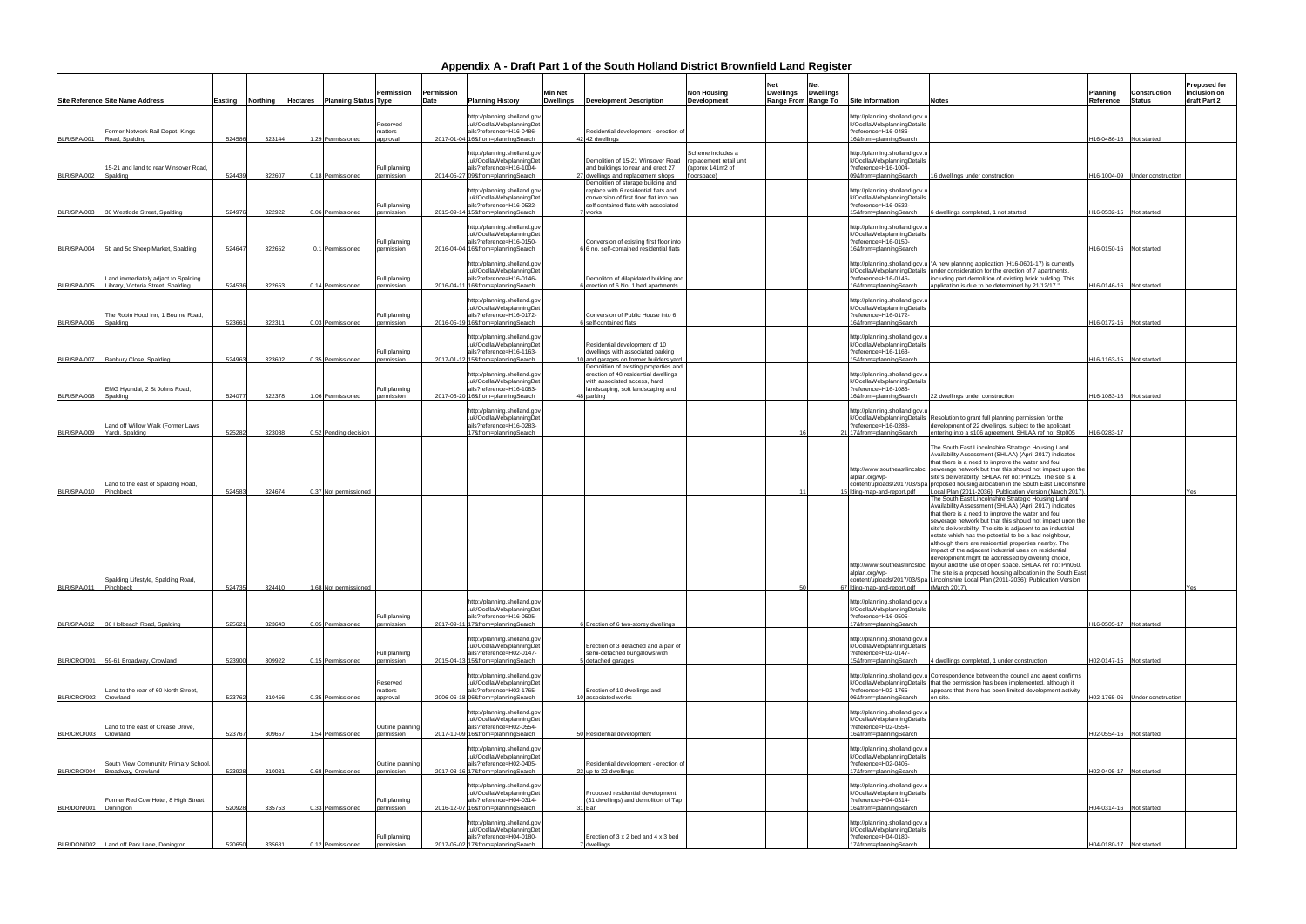| <b>Site Information</b>                                                                                         | Notes                                                                                                                                                                                                                                                                                                                                                                                                                                                                                                                                                                                                                                                                                                                                   | Planning<br>Reference | Construction<br>Status | <b>Proposed for</b><br>inclusion on<br>draft Part 2 |
|-----------------------------------------------------------------------------------------------------------------|-----------------------------------------------------------------------------------------------------------------------------------------------------------------------------------------------------------------------------------------------------------------------------------------------------------------------------------------------------------------------------------------------------------------------------------------------------------------------------------------------------------------------------------------------------------------------------------------------------------------------------------------------------------------------------------------------------------------------------------------|-----------------------|------------------------|-----------------------------------------------------|
| http://planning.sholland.gov.u<br>k/OcellaWeb/planningDetails<br>?reference=H16-0486-<br>16&from=planningSearch |                                                                                                                                                                                                                                                                                                                                                                                                                                                                                                                                                                                                                                                                                                                                         | H16-0486-16           | Not started            |                                                     |
| http://planning.sholland.gov.u<br>k/OcellaWeb/planningDetails<br>?reference=H16-1004-<br>09&from=planningSearch | 16 dwellings under construction                                                                                                                                                                                                                                                                                                                                                                                                                                                                                                                                                                                                                                                                                                         | H16-1004-09           | Under construction     |                                                     |
| http://planning.sholland.gov.u<br>k/OcellaWeb/planningDetails<br>?reference=H16-0532-<br>15&from=planningSearch | 6 dwellings completed, 1 not started                                                                                                                                                                                                                                                                                                                                                                                                                                                                                                                                                                                                                                                                                                    | H16-0532-15           | Not started            |                                                     |
| http://planning.sholland.gov.u<br>k/OcellaWeb/planningDetails<br>?reference=H16-0150-<br>16&from=planningSearch |                                                                                                                                                                                                                                                                                                                                                                                                                                                                                                                                                                                                                                                                                                                                         | H16-0150-16           | Not started            |                                                     |
| http://planning.sholland.gov.u<br>k/OcellaWeb/planningDetails<br>?reference=H16-0146-<br>16&from=planningSearch | "A new planning application (H16-0601-17) is currently<br>under consideration for the erection of 7 apartments,<br>including part demolition of existing brick building. This<br>application is due to be determined by 21/12/17."                                                                                                                                                                                                                                                                                                                                                                                                                                                                                                      | H16-0146-16           | Not started            |                                                     |
| http://planning.sholland.gov.u<br>k/OcellaWeb/planningDetails<br>?reference=H16-0172-<br>16&from=planningSearch |                                                                                                                                                                                                                                                                                                                                                                                                                                                                                                                                                                                                                                                                                                                                         | H16-0172-16           | Not started            |                                                     |
| http://planning.sholland.gov.u<br>k/OcellaWeb/planningDetails<br>?reference=H16-1163-<br>15&from=planningSearch |                                                                                                                                                                                                                                                                                                                                                                                                                                                                                                                                                                                                                                                                                                                                         | H16-1163-15           | Not started            |                                                     |
| http://planning.sholland.gov.u<br>k/OcellaWeb/planningDetails<br>?reference=H16-1083-<br>16&from=planningSearch | 22 dwellings under construction                                                                                                                                                                                                                                                                                                                                                                                                                                                                                                                                                                                                                                                                                                         | H16-1083-16           | Not started            |                                                     |
| http://planning.sholland.gov.u<br>k/OcellaWeb/planningDetails<br>?reference=H16-0283-<br>17&from=planningSearch | Resolution to grant full planning permission for the<br>development of 22 dwellings, subject to the applicant<br>entering into a s106 agreement. SHLAA ref no: Stp005                                                                                                                                                                                                                                                                                                                                                                                                                                                                                                                                                                   | H16-0283-17           |                        |                                                     |
| http://www.southeastlincsloc<br>alplan.org/wp-<br>content/uploads/2017/03/Spa<br>Iding-map-and-report.pdf       | The South East Lincolnshire Strategic Housing Land<br>Availability Assessment (SHLAA) (April 2017) indicates<br>that there is a need to improve the water and foul<br>sewerage network but that this should not impact upon the<br>site's deliverability. SHLAA ref no: Pin025. The site is a<br>proposed housing allocation in the South East Lincolnshire<br>Local Plan (2011-2036): Publication Version (March 2017)                                                                                                                                                                                                                                                                                                                 |                       |                        | Yes                                                 |
| http://www.southeastlincsloc<br>alplan.org/wp-<br>content/uploads/2017/03/Spa<br>Iding-map-and-report.pdf       | The South East Lincolnshire Strategic Housing Land<br>Availability Assessment (SHLAA) (April 2017) indicates<br>that there is a need to improve the water and foul<br>sewerage network but that this should not impact upon the<br>site's deliverability. The site is adjacent to an industrial<br>estate which has the potential to be a bad neighbour,<br>although there are residential properties nearby. The<br>impact of the adjacent industrial uses on residential<br>development might be addressed by dwelling choice,<br>layout and the use of open space. SHLAA ref no: Pin050.<br>The site is a proposed housing allocation in the South East<br>Lincolnshire Local Plan (2011-2036): Publication Version<br>(March 2017). |                       |                        | Yes                                                 |
| http://planning.sholland.gov.u<br>k/OcellaWeb/planningDetails<br>?reference=H16-0505-<br>17&from=planningSearch |                                                                                                                                                                                                                                                                                                                                                                                                                                                                                                                                                                                                                                                                                                                                         | H16-0505-17           | Not started            |                                                     |
| http://planning.sholland.gov.u<br>k/OcellaWeb/planningDetails<br>?reference=H02-0147-<br>15&from=planningSearch | 4 dwellings completed, 1 under construction                                                                                                                                                                                                                                                                                                                                                                                                                                                                                                                                                                                                                                                                                             | H02-0147-15           | Not started            |                                                     |
| http://planning.sholland.gov.u<br>k/OcellaWeb/planningDetails<br>?reference=H02-1765-<br>06&from=planningSearch | Correspondence between the council and agent confirms<br>that the permission has been implemented, although it<br>appears that there has been limited development activity<br>on site.                                                                                                                                                                                                                                                                                                                                                                                                                                                                                                                                                  | H02-1765-06           | Under construction     |                                                     |
| http://planning.sholland.gov.u<br>k/OcellaWeb/planningDetails<br>?reference=H02-0554-<br>16&from=planningSearch |                                                                                                                                                                                                                                                                                                                                                                                                                                                                                                                                                                                                                                                                                                                                         | H02-0554-16           | Not started            |                                                     |
| http://planning.sholland.gov.u<br>k/OcellaWeb/planningDetails<br>?reference=H02-0405-<br>17&from=planningSearch |                                                                                                                                                                                                                                                                                                                                                                                                                                                                                                                                                                                                                                                                                                                                         | H02-0405-17           | Not started            |                                                     |
| http://planning.sholland.gov.u<br>k/OcellaWeb/planningDetails<br>?reference=H04-0314-<br>16&from=planningSearch |                                                                                                                                                                                                                                                                                                                                                                                                                                                                                                                                                                                                                                                                                                                                         | H04-0314-16           | Not started            |                                                     |
| http://planning.sholland.gov.u<br>k/OcellaWeb/planningDetails<br>?reference=H04-0180-<br>17&from=planningSearch |                                                                                                                                                                                                                                                                                                                                                                                                                                                                                                                                                                                                                                                                                                                                         | H04-0180-17           | Not started            |                                                     |

|             | <b>Site Reference Site Name Address</b>                                   | Easting | Northing | Hectares | <b>Planning Status Type</b> | Permission                      | Permission<br>Date | <b>Planning History</b>                                                                                                   | <b>Min Net</b><br><b>Dwellings</b> | <b>Development Description</b>                                                                                                                                         | <b>Non Housing</b><br><b>Development</b>                                        | Net<br><b>Dwellings</b> | Net<br><b>Dwellings</b><br>Range From Range To | Site Information                                                                                                                                           | Notes                                                                                                                                                                                                                                                                                         |
|-------------|---------------------------------------------------------------------------|---------|----------|----------|-----------------------------|---------------------------------|--------------------|---------------------------------------------------------------------------------------------------------------------------|------------------------------------|------------------------------------------------------------------------------------------------------------------------------------------------------------------------|---------------------------------------------------------------------------------|-------------------------|------------------------------------------------|------------------------------------------------------------------------------------------------------------------------------------------------------------|-----------------------------------------------------------------------------------------------------------------------------------------------------------------------------------------------------------------------------------------------------------------------------------------------|
| BLR/SPA/001 | Former Network Rail Depot, Kings<br>Road, Spalding                        | 524586  | 323144   |          | 1.29 Permissioned           | Reserved<br>matters<br>approval |                    | http://planning.sholland.gov<br>uk/OcellaWeb/planningDet<br>ails?reference=H16-0486-<br>2017-01-04 16&from=planningSearch |                                    | Residential development - erection of<br>42 42 dwellings                                                                                                               |                                                                                 |                         |                                                | http://planning.sholland.gov.u<br>k/OcellaWeb/planningDetails<br>?reference=H16-0486-<br>16&from=planningSearch                                            |                                                                                                                                                                                                                                                                                               |
| BLR/SPA/002 | 15-21 and land to rear Winsover Road,<br>Spalding                         | 524439  | 32260    |          | 0.18 Permissioned           | Full planning<br>bermission     | 2014-05-27         | http://planning.sholland.gov<br>uk/OcellaWeb/planningDet<br>ails?reference=H16-1004-<br>09&from=planningSearch            |                                    | Demolition of 15-21 Winsover Road<br>and buildings to rear and erect 27<br>27 dwellings and replacement shops                                                          | Scheme includes a<br>replacement retail unit<br>(approx 141m2 of<br>floorspace) |                         |                                                | http://planning.sholland.gov.u<br>k/OcellaWeb/planningDetails<br>?reference=H16-1004-<br>09&from=planningSearch                                            | 16 dwellings under co                                                                                                                                                                                                                                                                         |
| BLR/SPA/003 | 30 Westlode Street, Spalding                                              | 524976  | 322922   |          | 0.06 Permissioned           | Full planning<br>permission     |                    | http://planning.sholland.gov<br>uk/OcellaWeb/planningDet<br>ails?reference=H16-0532-<br>2015-09-14 15&from=planningSearch |                                    | Demolition of storage building and<br>replace with 6 residential flats and<br>conversion of first floor flat into two<br>self contained flats with associated<br>works |                                                                                 |                         |                                                | http://planning.sholland.gov.u<br>k/OcellaWeb/planningDetails<br>?reference=H16-0532-<br>15&from=planningSearch                                            | dwellings completed                                                                                                                                                                                                                                                                           |
| BLR/SPA/004 | 5b and 5c Sheep Market, Spalding                                          | 524647  | 32265    |          | 0.1 Permissioned            | Full planning<br>permission     |                    | http://planning.sholland.gov<br>uk/OcellaWeb/planningDet<br>ails?reference=H16-0150-<br>2016-04-04 16&from=planningSearch |                                    | Conversion of existing first floor into<br>6 no. self-contained residential flats                                                                                      |                                                                                 |                         |                                                | http://planning.sholland.gov.u<br>k/OcellaWeb/planningDetails<br>?reference=H16-0150-<br>16&from=planningSearch                                            |                                                                                                                                                                                                                                                                                               |
| BLR/SPA/005 | Land immediately adjact to Spalding<br>Library, Victoria Street, Spalding | 524536  | 32265    |          | 0.14 Permissioned           | Full planning<br>bermission     | 2016-04-1          | http://planning.sholland.gov<br>uk/OcellaWeb/planningDet<br>ails?reference=H16-0146-<br>16&from=planningSearch            |                                    | Demoliton of dilapidated building and<br>6 erection of 6 No. 1 bed apartments                                                                                          |                                                                                 |                         |                                                | http://planning.sholland.gov.u<br>k/OcellaWeb/planningDetails<br>?reference=H16-0146-<br>16&from=planningSearch                                            | "A new planning appli<br>under consideration fo<br>including part demoliti<br>application is due to b                                                                                                                                                                                         |
| BLR/SPA/006 | The Robin Hood Inn, 1 Bourne Road,<br>Spalding                            | 523661  | 322311   |          | 0.03 Permissioned           | Full planning<br>permission     | 2016-05-19         | http://planning.sholland.gov<br>uk/OcellaWeb/planningDet<br>ails?reference=H16-0172-<br>16&from=planningSearch            |                                    | Conversion of Public House into 6<br>6 self-contained flats                                                                                                            |                                                                                 |                         |                                                | http://planning.sholland.gov.u<br>k/OcellaWeb/planningDetails<br>?reference=H16-0172-<br>16&from=planningSearch                                            |                                                                                                                                                                                                                                                                                               |
| BLR/SPA/007 | Banbury Close, Spalding                                                   | 524963  | 323602   |          | 0.35 Permissioned           | Full planning<br>ermission      | 2017-01-12         | http://planning.sholland.gov<br>uk/OcellaWeb/planningDet<br>ails?reference=H16-1163-<br>15&from=planningSearch            |                                    | Residential development of 10<br>dwellings with associated parking<br>10 and garages on former builders yard                                                           |                                                                                 |                         |                                                | http://planning.sholland.gov.u<br>k/OcellaWeb/planningDetails<br>?reference=H16-1163-<br>15&from=planningSearch                                            |                                                                                                                                                                                                                                                                                               |
| BLR/SPA/008 | EMG Hyundai, 2 St Johns Road,<br>Spalding                                 | 524077  | 322378   |          | 1.06 Permissioned           | Full planning<br>permission     |                    | http://planning.sholland.gov<br>uk/OcellaWeb/planningDet<br>ails?reference=H16-1083-<br>2017-03-20 16&from=planningSearch |                                    | Demolition of existing properties and<br>erection of 48 residential dwellings<br>with associated access, hard<br>landscaping, soft landscaping and<br>48 parking       |                                                                                 |                         |                                                | http://planning.sholland.gov.u<br>k/OcellaWeb/planningDetails<br>?reference=H16-1083-<br>16&from=planningSearch                                            | 22 dwellings under co                                                                                                                                                                                                                                                                         |
| BLR/SPA/009 | Land off Willow Walk (Former Laws<br>Yard), Spalding                      | 525282  | 323038   |          | 0.52 Pending decision       |                                 |                    | http://planning.sholland.gov<br>uk/OcellaWeb/planningDet<br>ails?reference=H16-0283-<br>17&from=planningSearch            |                                    |                                                                                                                                                                        |                                                                                 |                         |                                                | http://planning.sholland.gov.u<br>k/OcellaWeb/planningDetails<br>?reference=H16-0283-<br>21 17&from=planningSearch                                         | Resolution to grant ful<br>development of 22 dw<br>entering into a s106 a                                                                                                                                                                                                                     |
| BLR/SPA/010 | Land to the east of Spalding Road,<br>Pinchbeck                           | 524583  | 324674   |          | 0.37 Not permissioned       |                                 |                    |                                                                                                                           |                                    |                                                                                                                                                                        |                                                                                 |                         |                                                | http://www.southeastlincsloc<br>alplan.org/wp-<br>content/uploads/2017/03/Spa<br>Iding-map-and-report.pdf                                                  | The South East Linco<br><b>Availability Assessme</b><br>that there is a need to<br>sewerage network but<br>site's deliverability. SI<br>proposed housing allo<br>Local Plan (2011-2036                                                                                                        |
|             |                                                                           |         |          |          |                             |                                 |                    |                                                                                                                           |                                    |                                                                                                                                                                        |                                                                                 |                         |                                                | http://www.southeastlincsloc<br>alplan.org/wp-                                                                                                             | The South East Linco<br><b>Availability Assessme</b><br>that there is a need to<br>sewerage network but<br>site's deliverability. Th<br>estate which has the r<br>although there are res<br>impact of the adjacent<br>development might be<br>layout and the use of<br>The site is a proposed |
| BLR/SPA/011 | Spalding Lifestyle, Spalding Road,<br>Pinchbeck                           | 524735  | 324410   |          | 1.68 Not permissioned       |                                 |                    | http://planning.sholland.gov                                                                                              |                                    |                                                                                                                                                                        |                                                                                 |                         | 50                                             | content/uploads/2017/03/Spa Lincolnshire Local Pla<br>67 Iding-map-and-report.pdf<br>http://planning.sholland.gov.u                                        | (March 2017).                                                                                                                                                                                                                                                                                 |
| BLR/SPA/012 | 36 Holbeach Road, Spalding                                                | 525621  | 323643   |          | 0.05 Permissioned           | Full planning<br>permission     |                    | uk/OcellaWeb/planningDet<br>ails?reference=H16-0505-<br>2017-09-11 17&from=planningSearch                                 |                                    | Erection of 6 two-storey dwellings                                                                                                                                     |                                                                                 |                         |                                                | k/OcellaWeb/planningDetails<br>?reference=H16-0505-<br>17&from=planningSearch                                                                              |                                                                                                                                                                                                                                                                                               |
| BLR/CRO/001 | 59-61 Broadway, Crowland                                                  | 523900  | 30992    |          | 0.15 Permissioned           | Full planning<br>permission     | 2015-04-13         | http://planning.sholland.gov<br>uk/OcellaWeb/planningDe<br>ails?reference=H02-0147-<br>15&from=planningSearch             |                                    | Erection of 3 detached and a pair of<br>semi-detached bungalows with<br>detached garages                                                                               |                                                                                 |                         |                                                | http://planning.sholland.gov.u<br>k/OcellaWeb/planningDetails<br>?reference=H02-0147-<br>15&from=planningSearch                                            | 4 dwellings completed                                                                                                                                                                                                                                                                         |
| BLR/CRO/002 | Land to the rear of 60 North Street,<br>Crowland                          | 523762  | 310456   |          | 0.35 Permissioned           | Reserved<br>matters<br>approval |                    | http://planning.sholland.gov<br>uk/OcellaWeb/planningDet<br>ails?reference=H02-1765-<br>2006-06-18 06&from=planningSearch |                                    | Erection of 10 dwellings and<br>10 associated works                                                                                                                    |                                                                                 |                         |                                                | http://planning.sholland.gov.u Correspondence betw<br>k/OcellaWeb/planningDetails that the permission ha<br>?reference=H02-1765-<br>06&from=planningSearch | appears that there has<br>on site.                                                                                                                                                                                                                                                            |
| BLR/CRO/003 | Land to the east of Crease Drove,<br>Crowland                             | 523767  | 309657   |          | 1.54 Permissioned           | Outline planning<br>permission  |                    | http://planning.sholland.gov<br>uk/OcellaWeb/planningDet<br>ails?reference=H02-0554-<br>2017-10-09 16&from=planningSearch |                                    | 50 Residential development                                                                                                                                             |                                                                                 |                         |                                                | http://planning.sholland.gov.u<br>k/OcellaWeb/planningDetails<br>?reference=H02-0554-<br>16&from=planningSearch                                            |                                                                                                                                                                                                                                                                                               |
| BLR/CRO/004 | South View Community Primary School,<br>Broadway, Crowland                | 523928  | 31003    |          | 0.68 Permissioned           | Outline planning<br>permission  |                    | http://planning.sholland.gov<br>uk/OcellaWeb/planningDet<br>ails?reference=H02-0405-<br>2017-08-16 17&from=planningSearch |                                    | Residential development - erection of<br>22 up to 22 dwellings                                                                                                         |                                                                                 |                         |                                                | http://planning.sholland.gov.u<br>k/OcellaWeb/planningDetails<br>?reference=H02-0405-<br>17&from=planningSearch                                            |                                                                                                                                                                                                                                                                                               |
| BLR/DON/001 | Former Red Cow Hotel, 8 High Street,<br>Donington                         | 520928  | 33575    |          | 0.33 Permissioned           | Full planning<br>permission     |                    | http://planning.sholland.gov<br>uk/OcellaWeb/planningDet<br>ails?reference=H04-0314-<br>2016-12-07 16&from=planningSearch |                                    | Proposed residential development<br>(31 dwellings) and demolition of Tap<br>31 Bar                                                                                     |                                                                                 |                         |                                                | http://planning.sholland.gov.u<br>k/OcellaWeb/planningDetails<br>?reference=H04-0314-<br>16&from=planningSearch                                            |                                                                                                                                                                                                                                                                                               |
|             | BLR/DON/002 Land off Park Lane, Donington                                 | 520650  | 335681   |          | 0.12 Permissioned           | Full planning<br>permission     |                    | http://planning.sholland.gov<br>uk/OcellaWeb/planningDet<br>ails?reference=H04-0180-<br>2017-05-02 17&from=planningSearch |                                    | Erection of 3 x 2 bed and 4 x 3 bed<br>7 dwellings                                                                                                                     |                                                                                 |                         |                                                | http://planning.sholland.gov.u<br>k/OcellaWeb/planningDetails<br>?reference=H04-0180-<br>17&from=planningSearch                                            |                                                                                                                                                                                                                                                                                               |
|             |                                                                           |         |          |          |                             |                                 |                    |                                                                                                                           |                                    |                                                                                                                                                                        |                                                                                 |                         |                                                |                                                                                                                                                            |                                                                                                                                                                                                                                                                                               |

## **Appendix A - Draft Part 1 of the South Holland District Brownfield Land Register**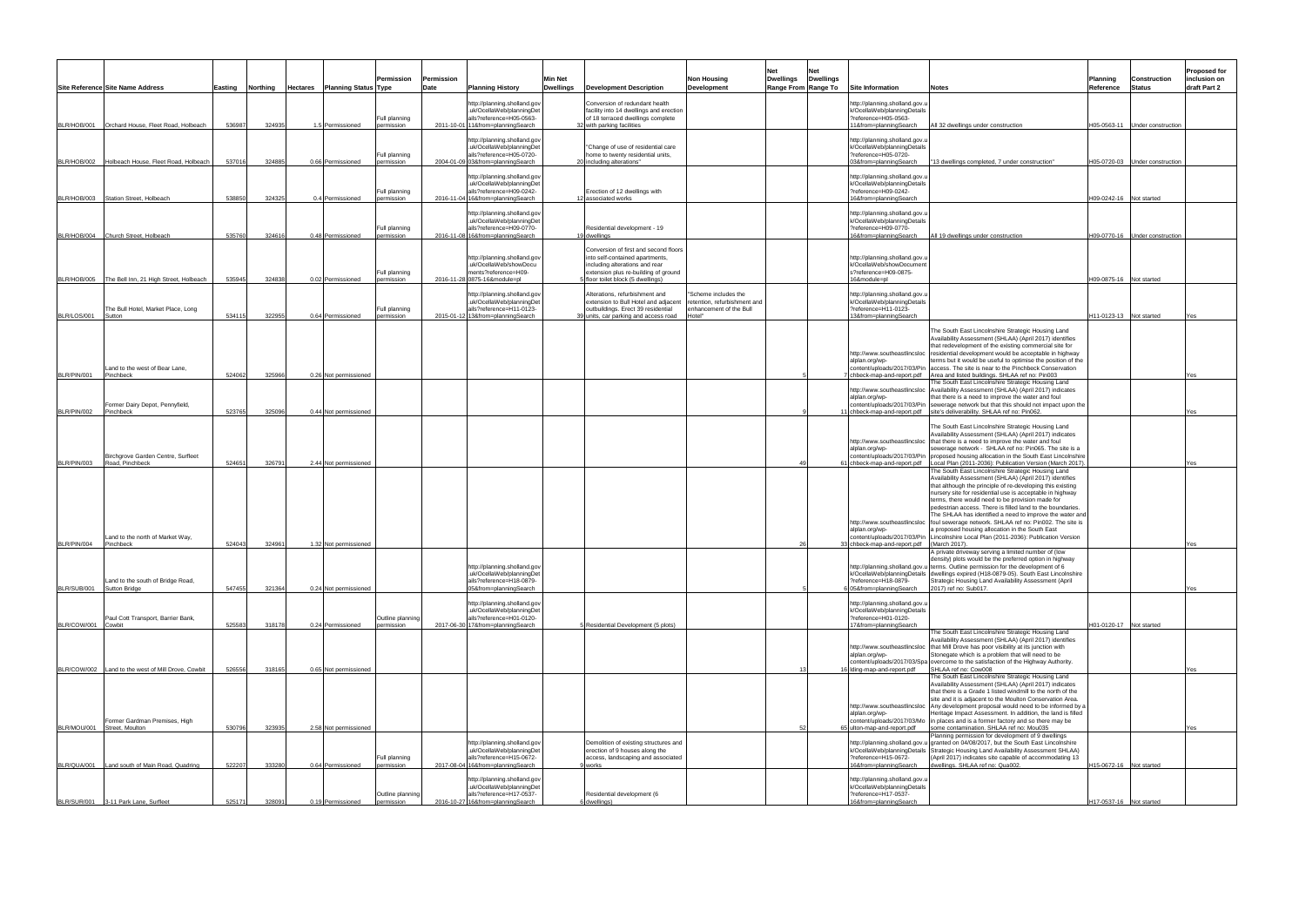|             | Site Reference Site Name Address                                             |                  | Easting Northing | <b>Hectares</b> Planning Status Type       | Permission                     | Permission<br>Date | <b>Planning History</b>                                                                                                    | <b>Min Net</b><br><b>Dwellings</b> | <b>Development Description</b>                                                                                                                                                         | <b>Non Housing</b><br><b>Development</b>                                                  | Net<br>Net<br><b>Dwellings</b><br><b>Dwellings</b><br>Range From Range To | <b>Site Information</b>                                                                                         | Planning<br><b>Notes</b>                                                                                                                                                                                                                                                                                                                                                                                                                                                                                                                                   | <b>Status</b><br>Reference     | <b>Construction</b> | Proposed for<br>inclusion on<br>draft Part 2 |
|-------------|------------------------------------------------------------------------------|------------------|------------------|--------------------------------------------|--------------------------------|--------------------|----------------------------------------------------------------------------------------------------------------------------|------------------------------------|----------------------------------------------------------------------------------------------------------------------------------------------------------------------------------------|-------------------------------------------------------------------------------------------|---------------------------------------------------------------------------|-----------------------------------------------------------------------------------------------------------------|------------------------------------------------------------------------------------------------------------------------------------------------------------------------------------------------------------------------------------------------------------------------------------------------------------------------------------------------------------------------------------------------------------------------------------------------------------------------------------------------------------------------------------------------------------|--------------------------------|---------------------|----------------------------------------------|
| BLR/HOB/001 | Orchard House, Fleet Road, Holbeach                                          | 536987           | 324935           | 1.5 Permissioned                           | Full planning<br>ermission     | 2011-10-01         | http://planning.sholland.gov<br>uk/OcellaWeb/planningDet<br>ails?reference=H05-0563-<br>11&from=planningSearch             |                                    | Conversion of redundant health<br>facility into 14 dwellings and erection<br>of 18 terraced dwellings complete<br>32 with parking facilities                                           |                                                                                           |                                                                           | http://planning.sholland.gov.u<br>k/OcellaWeb/planningDetails<br>?reference=H05-0563-<br>11&from=planningSearch | All 32 dwellings under construction                                                                                                                                                                                                                                                                                                                                                                                                                                                                                                                        | H05-0563-11 Under construction |                     |                                              |
|             | BLR/HOB/002 Holbeach House, Fleet Road, Holbeach                             | 537016           | 324885           | 0.66 Permissioned                          | Full planning<br>ermission     |                    | http://planning.sholland.gov<br>.uk/OcellaWeb/planningDet<br>ails?reference=H05-0720-<br>2004-01-09 03&from=planningSearch |                                    | "Change of use of residential care<br>home to twenty residential units,<br>20 including alterations"                                                                                   |                                                                                           |                                                                           | http://planning.sholland.gov.u<br>k/OcellaWeb/planningDetails<br>?reference=H05-0720-<br>03&from=planningSearch | "13 dwellings completed, 7 under construction"                                                                                                                                                                                                                                                                                                                                                                                                                                                                                                             | H05-0720-03 Under construction |                     |                                              |
|             | BLR/HOB/003 Station Street, Holbeach                                         | 538850           | 324325           | 0.4 Permissioned                           | Full planning<br>ermission     |                    | http://planning.sholland.gov<br>uk/OcellaWeb/planningDet<br>ails?reference=H09-0242-<br>2016-11-04 16&from=planningSearch  |                                    | Erection of 12 dwellings with<br>12 associated works                                                                                                                                   |                                                                                           |                                                                           | http://planning.sholland.gov.u<br>k/OcellaWeb/planningDetails<br>?reference=H09-0242-<br>16&from=planningSearch |                                                                                                                                                                                                                                                                                                                                                                                                                                                                                                                                                            | 109-0242-16 Not started        |                     |                                              |
|             | BLR/HOB/004 Church Street, Holbeach                                          | 535760           | 324616           | 0.48 Permissioned                          | Full planning<br>permission    |                    | http://planning.sholland.gov<br>uk/OcellaWeb/planningDet<br>ails?reference=H09-0770-<br>2016-11-08 16&from=planningSearch  |                                    | Residential development - 19<br>19 dwellings                                                                                                                                           |                                                                                           |                                                                           | http://planning.sholland.gov.u<br>k/OcellaWeb/planningDetails<br>?reference=H09-0770-<br>16&from=planningSearch | All 19 dwellings under construction                                                                                                                                                                                                                                                                                                                                                                                                                                                                                                                        | 109-0770-16 Under construction |                     |                                              |
|             | BLR/HOB/005 The Bell Inn, 21 High Street, Holbeach                           | 535945           | 324838           | 0.02 Permissioned                          | Full planning<br>permission    |                    | nttp://planning.sholland.gov<br>.uk/OcellaWeb/showDocu<br>ments?reference=H09-<br>2016-11-28 0875-16&module=pl             |                                    | Conversion of first and second floors<br>into self-contained apartments,<br>including alterations and rear<br>extension plus re-building of ground<br>floor toilet block (5 dwellings) |                                                                                           |                                                                           | http://planning.sholland.gov.u<br>k/OcellaWeb/showDocument<br>s?reference=H09-0875-<br>16&module=pl             |                                                                                                                                                                                                                                                                                                                                                                                                                                                                                                                                                            | H09-0875-16 Not started        |                     |                                              |
| BLR/LOS/001 | The Bull Hotel, Market Place, Long<br>Sutton                                 | 534115           | 322955           | 0.64 Permissioned                          | Full planning<br>ermission     | 2015-01-12         | http://planning.sholland.gov<br>uk/OcellaWeb/planningDet<br>ails?reference=H11-0123-<br>13&from=planningSearch             |                                    | Alterations, refurbishment and<br>extension to Bull Hotel and adjacent<br>outbuildings. Erect 39 residential<br>39 units, car parking and access road                                  | 'Scheme includes the<br>retention, refurbishment and<br>enhancement of the Bull<br>Hotel" |                                                                           | http://planning.sholland.gov.u<br>k/OcellaWeb/planningDetails<br>?reference=H11-0123-<br>13&from=planningSearch |                                                                                                                                                                                                                                                                                                                                                                                                                                                                                                                                                            | H11-0123-13 Not started        |                     |                                              |
|             | Land to the west of Bear Lane,                                               |                  |                  |                                            |                                |                    |                                                                                                                            |                                    |                                                                                                                                                                                        |                                                                                           |                                                                           | http://www.southeastlincsloc<br>alplan.org/wp-                                                                  | The South East Lincolnshire Strategic Housing Land<br>Availability Assessment (SHLAA) (April 2017) identifies<br>that redevelopment of the existing commercial site for<br>residential development would be acceptable in highway<br>erms but it would be useful to optimise the position of the<br>content/uploads/2017/03/Pin access. The site is near to the Pinchbeck Conservation                                                                                                                                                                     |                                |                     |                                              |
| BLR/PIN/001 | Pinchbeck                                                                    | 524062           | 325966           | 0.26 Not permissioned                      |                                |                    |                                                                                                                            |                                    |                                                                                                                                                                                        |                                                                                           |                                                                           | http://www.southeastlincsloc<br>alplan.org/wp-                                                                  | chbeck-map-and-report.pdf Area and listed buildings. SHLAA ref no: Pin003<br>The South East Lincolnshire Strategic Housing Land<br>Availability Assessment (SHLAA) (April 2017) indicates<br>that there is a need to improve the water and foul                                                                                                                                                                                                                                                                                                            |                                |                     | Yes                                          |
| BLR/PIN/002 | Former Dairy Depot, Pennyfield,<br>Pinchbeck                                 | 523765           | 325096           | 0.44 Not permissioned                      |                                |                    |                                                                                                                            |                                    |                                                                                                                                                                                        |                                                                                           |                                                                           | content/uploads/2017/03/Pin<br>chbeck-map-and-report.pdf                                                        | sewerage network but that this should not impact upon the<br>site's deliverability. SHLAA ref no: Pin062.<br>The South East Lincolnshire Strategic Housing Land<br>Availability Assessment (SHLAA) (April 2017) indicates                                                                                                                                                                                                                                                                                                                                  |                                |                     |                                              |
| BLR/PIN/003 | Birchgrove Garden Centre, Surfleet<br>Road, Pinchbeck                        | 524651           | 326791           | 2.44 Not permissioned                      |                                |                    |                                                                                                                            |                                    |                                                                                                                                                                                        |                                                                                           |                                                                           | alplan.org/wp-<br>content/uploads/2017/03/Pin<br>chbeck-map-and-report.pdf                                      | http://www.southeastlincsloc that there is a need to improve the water and foul<br>sewerage network - SHLAA ref no: Pin065. The site is a<br>proposed housing allocation in the South East Lincolnshire<br>Local Plan (2011-2036): Publication Version (March 2017)<br>The South East Lincolnshire Strategic Housing Land                                                                                                                                                                                                                                  |                                |                     | Yes                                          |
| BLR/PIN/004 | Land to the north of Market Way,<br>Pinchbeck                                | 524043           | 324961           | 1.32 Not permissioned                      |                                |                    |                                                                                                                            |                                    |                                                                                                                                                                                        |                                                                                           |                                                                           | http://www.southeastlincsloc<br>alplan.org/wp-<br>content/uploads/2017/03/Pin<br>chbeck-map-and-report.pdf      | Availability Assessment (SHLAA) (April 2017) identifies<br>that although the principle of re-developing this existing<br>nursery site for residential use is acceptable in highway<br>terms, there would need to be provision made for<br>pedestrian access. There is filled land to the boundaries.<br>The SHLAA has identified a need to improve the water and<br>foul sewerage network. SHLAA ref no: Pin002. The site is<br>proposed housing allocation in the South East<br>Lincolnshire Local Plan (2011-2036): Publication Version<br>(March 2017). |                                |                     |                                              |
| BLR/SUB/001 | Land to the south of Bridge Road,<br><b>Sutton Bridge</b>                    | 547455           | 321364           | 0.24 Not permissioned                      |                                |                    | http://planning.sholland.gov<br>.uk/OcellaWeb/planningDet<br>ails?reference=H18-0879-<br>05&from=planningSearch            |                                    |                                                                                                                                                                                        |                                                                                           |                                                                           | ?reference=H18-0879-<br>05&from=planningSearch                                                                  | A private driveway serving a limited number of (low<br>density) plots would be the preferred option in highway<br>http://planning.sholland.gov.u terms. Outline permission for the development of 6<br>k/OcellaWeb/planningDetails dwellings expired (H18-0879-05). South East Lincolnshire<br>Strategic Housing Land Availability Assessment (April<br>2017) ref no: Sub017.                                                                                                                                                                              |                                |                     |                                              |
| BLR/COW/001 | Paul Cott Transport, Barrier Bank,<br>Cowbit                                 | 525583           | 318178           | 0.24 Permissioned                          | Outline planning<br>ermission  | 2017-06-30         | nttp://planning.sholland.gov<br>uk/OcellaWeb/planningDet<br>ails?reference=H01-0120-<br>17&from=planningSearch             |                                    | Residential Development (5 plots)                                                                                                                                                      |                                                                                           |                                                                           | http://planning.sholland.gov.u<br>k/OcellaWeb/planningDetails<br>?reference=H01-0120-<br>17&from=planningSearch |                                                                                                                                                                                                                                                                                                                                                                                                                                                                                                                                                            | 101-0120-17 Not started        |                     |                                              |
|             | BLR/COW/002 Land to the west of Mill Drove, Cowbit                           | 526556           | 318165           | 0.65 Not permissioned                      |                                |                    |                                                                                                                            |                                    |                                                                                                                                                                                        |                                                                                           |                                                                           | alplan.org/wp-<br>content/uploads/2017/03/Spa<br>Iding-map-and-report.pdf                                       | The South East Lincolnshire Strategic Housing Land<br>Availability Assessment (SHLAA) (April 2017) identifies<br>http://www.southeastlincsloc   that Mill Drove has poor visibility at its junction with<br>Stonegate which is a problem that will need to be<br>overcome to the satisfaction of the Highway Authority.<br>SHLAA ref no: Cow008                                                                                                                                                                                                            |                                |                     | /es                                          |
|             | Former Gardman Premises, High                                                |                  |                  |                                            |                                |                    |                                                                                                                            |                                    |                                                                                                                                                                                        |                                                                                           |                                                                           | alplan.org/wp-<br>content/uploads/2017/03/Mo                                                                    | The South East Lincolnshire Strategic Housing Land<br>Availability Assessment (SHLAA) (April 2017) indicates<br>that there is a Grade 1 listed windmill to the north of the<br>site and it is adjacent to the Moulton Conservation Area.<br>http://www.southeastlincsloc Any development proposal would need to be informed by a<br>Heritage Impact Assessment. In addition, the land is filled<br>in places and is a former factory and so there may be                                                                                                   |                                |                     |                                              |
|             | BLR/MOU/001 Street, Moulton<br>BLR/QUA/001 Land south of Main Road, Quadring | 530796<br>522207 | 323935<br>333280 | 2.58 Not permissioned<br>0.64 Permissioned | Full planning<br>permission    |                    | http://planning.sholland.gov<br>uk/OcellaWeb/planningDet<br>ails?reference=H15-0672-<br>2017-08-04 16&from=planningSearch  |                                    | Demolition of existing structures and<br>erection of 9 houses along the<br>access, landscaping and associated<br>works                                                                 |                                                                                           |                                                                           | lton-map-and-report.pdf<br>?reference=H15-0672-<br>16&from=planningSearch                                       | some contamination. SHLAA ref no: Mou035<br>Planning permission for development of 9 dwellings<br>http://planning.sholland.gov.u granted on 04/08/2017, but the South East Lincolnshire<br>k/OcellaWeb/planningDetails Strategic Housing Land Availability Assessment SHLAA)<br>(April 2017) indicates site capable of accommodating 13<br>dwellings. SHLAA ref no: Qua002.                                                                                                                                                                                | H15-0672-16 Not started        |                     |                                              |
|             | BLR/SUR/001 3-11 Park Lane, Surfleet                                         | 525171           | 328091           | 0.19 Permissioned                          | Outline planning<br>permission |                    | http://planning.sholland.gov<br>uk/OcellaWeb/planningDet<br>ails?reference=H17-0537-<br>2016-10-27 16&from=planningSearch  |                                    | Residential development (6<br>6 dwellings)                                                                                                                                             |                                                                                           |                                                                           | http://planning.sholland.gov.u<br>k/OcellaWeb/planningDetails<br>?reference=H17-0537-<br>16&from=planningSearch |                                                                                                                                                                                                                                                                                                                                                                                                                                                                                                                                                            | H17-0537-16 Not started        |                     |                                              |